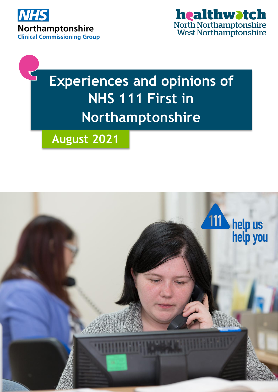



# **Experiences and opinions of NHS 111 First in Northamptonshire**



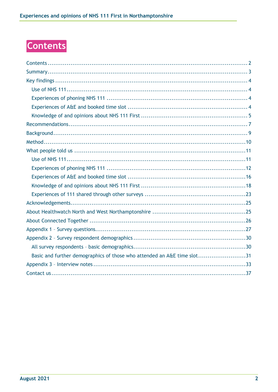# <span id="page-1-0"></span>**Contents**

| Basic and further demographics of those who attended an A&E time slot31 |
|-------------------------------------------------------------------------|
|                                                                         |
|                                                                         |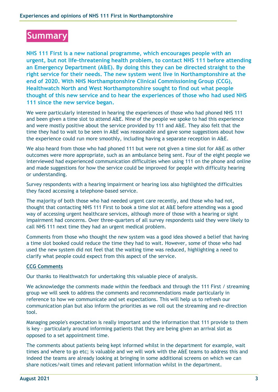# <span id="page-2-0"></span>**Summary**

**NHS 111 First is a new national programme, which encourages people with an urgent, but not life-threatening health problem, to contact NHS 111 before attending an Emergency Department (A&E). By doing this they can be directed straight to the right service for their needs. The new system went live in Northamptonshire at the end of 2020. With NHS Northamptonshire Clinical Commissioning Group (CCG), Healthwatch North and West Northamptonshire sought to find out what people thought of this new service and to hear the experiences of those who had used NHS 111 since the new service began.**

We were particularly interested in hearing the experiences of those who had phoned NHS 111 and been given a time slot to attend A&E. Nine of the people we spoke to had this experience and were mostly positive about the service provided by 111 and A&E. They also felt that the time they had to wait to be seen in A&E was reasonable and gave some suggestions about how the experience could run more smoothly, including having a separate reception in A&E.

We also heard from those who had phoned 111 but were not given a time slot for A&E as other outcomes were more appropriate, such as an ambulance being sent. Four of the eight people we interviewed had experienced communication difficulties when using 111 on the phone and online and made suggestions for how the service could be improved for people with difficulty hearing or understanding.

Survey respondents with a hearing impairment or hearing loss also highlighted the difficulties they faced accessing a telephone-based service.

The majority of both those who had needed urgent care recently, and those who had not, thought that contacting NHS 111 First to book a time slot at A&E before attending was a good way of accessing urgent healthcare services, although more of those with a hearing or sight impairment had concerns. Over three-quarters of all survey respondents said they were likely to call NHS 111 next time they had an urgent medical problem.

Comments from those who thought the new system was a good idea showed a belief that having a time slot booked could reduce the time they had to wait. However, some of those who had used the new system did not feel that the waiting time was reduced, highlighting a need to clarify what people could expect from this aspect of the service.

#### **CCG Comments**

Our thanks to Healthwatch for undertaking this valuable piece of analysis.

We acknowledge the comments made within the feedback and through the 111 First / streaming group we will seek to address the comments and recommendations made particularly in reference to how we communicate and set expectations. This will help us to refresh our communication plan but also inform the priorities as we roll out the streaming and re-direction tool.

Managing people's expectation is really important and the information that 111 provide to them is key - particularly around informing patients that they are being given an arrival slot as opposed to a set appointment time.

The comments about patients being kept informed whilst in the department for example, wait times and where to go etc; is valuable and we will work with the A&E teams to address this and indeed the teams are already looking at bringing in some additional screens on which we can share notices/wait times and relevant patient information whilst in the department.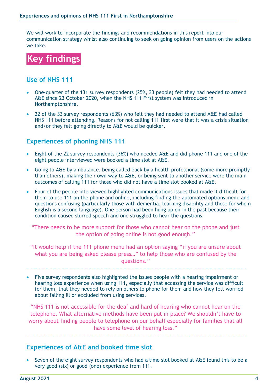We will work to incorporate the findings and recommendations in this report into our communication strategy whilst also continuing to seek on going opinion from users on the actions we take.

<span id="page-3-0"></span>

### <span id="page-3-1"></span>**Use of NHS 111**

- One-quarter of the 131 survey respondents (25%, 33 people) felt they had needed to attend A&E since 23 October 2020, when the NHS 111 First system was introduced in Northamptonshire.
- 22 of the 33 survey respondents (63%) who felt they had needed to attend A&E had called NHS 111 before attending. Reasons for not calling 111 first were that it was a crisis situation and/or they felt going directly to A&E would be quicker.

### <span id="page-3-2"></span>**Experiences of phoning NHS 111**

- Eight of the 22 survey respondents (36%) who needed A&E and did phone 111 and one of the eight people interviewed were booked a time slot at A&E.
- Going to A&E by ambulance, being called back by a health professional (some more promptly than others), making their own way to A&E, or being sent to another service were the main outcomes of calling 111 for those who did not have a time slot booked at A&E.
- Four of the people interviewed highlighted communications issues that made it difficult for them to use 111 on the phone and online, including finding the automated options menu and questions confusing (particularly those with dementia, learning disability and those for whom English is a second language). One person had been hung up on in the past because their condition caused slurred speech and one struggled to hear the questions.

"There needs to be more support for those who cannot hear on the phone and just the option of going online is not good enough."

"It would help if the 111 phone menu had an option saying "if you are unsure about what you are being asked please press…" to help those who are confused by the questions."

 Five survey respondents also highlighted the issues people with a hearing impairment or hearing loss experience when using 111, especially that accessing the service was difficult for them, that they needed to rely on others to phone for them and how they felt worried about falling ill or excluded from using services.

"NHS 111 is not accessible for the deaf and hard of hearing who cannot hear on the telephone. What alternative methods have been put in place? We shouldn't have to worry about finding people to telephone on our behalf especially for families that all have some level of hearing loss."

### <span id="page-3-3"></span>**Experiences of A&E and booked time slot**

 Seven of the eight survey respondents who had a time slot booked at A&E found this to be a very good (six) or good (one) experience from 111.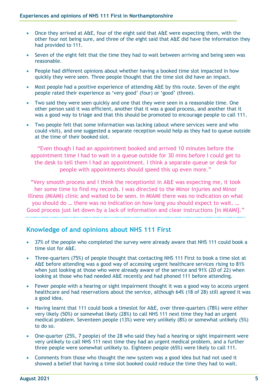- Once they arrived at A&E, four of the eight said that A&E were expecting them, with the other four not being sure, and three of the eight said that A&E did have the information they had provided to 111.
- Seven of the eight felt that the time they had to wait between arriving and being seen was reasonable.
- People had different opinions about whether having a booked time slot impacted in how quickly they were seen. Three people thought that the time slot did have an impact.
- Most people had a positive experience of attending A&E by this route. Seven of the eight people rated their experience as 'very good' (four) or 'good' (three).
- Two said they were seen quickly and one that they were seen in a reasonable time. One other person said it was efficient, another that it was a good process, and another that it was a good way to triage and that this should be promoted to encourage people to call 111.
- Two people felt that some information was lacking (about where services were and who could visit), and one suggested a separate reception would help as they had to queue outside at the time of their booked slot.

"Even though I had an appointment booked and arrived 10 minutes before the appointment time I had to wait in a queue outside for 30 mins before I could get to the desk to tell them I had an appointment. I think a separate queue or desk for people with appointments should speed this up even more."

"Very smooth process and I think the receptionist in A&E was expecting me, it took her some time to find my records. I was directed to the Minor Injuries and Minor Illness (MIAMI) clinic and waited to be seen. In MIAMI there was no indication on what you should do … there was no indication on how long you should expect to wait. … Good process just let down by a lack of information and clear instructions [in MIAMI]."

### <span id="page-4-0"></span>**Knowledge of and opinions about NHS 111 First**

- 37% of the people who completed the survey were already aware that NHS 111 could book a time slot for A&E.
- Three-quarters (75%) of people thought that contacting NHS 111 First to book a time slot at A&E before attending was a good way of accessing urgent healthcare services rising to 81% when just looking at those who were already aware of the service and 91% (20 of 22) when looking at those who had needed A&E recently and had phoned 111 before attending.
- Fewer people with a hearing or sight impairment thought it was a good way to access urgent healthcare and had reservations about the service, although 64% (18 of 28) still agreed it was a good idea.
- Having learnt that 111 could book a timeslot for A&E, over three-quarters (78%) were either very likely (50%) or somewhat likely (28%) to call NHS 111 next time they had an urgent medical problem. Seventeen people (13%) were very unlikely (8%) or somewhat unlikely (5%) to do so.
- One-quarter (25%, 7 people) of the 28 who said they had a hearing or sight impairment were very unlikely to call NHS 111 next time they had an urgent medical problem, and a further three people were somewhat unlikely to. Eighteen people (65%) were likely to call 111.
- Comments from those who thought the new system was a good idea but had not used it showed a belief that having a time slot booked could reduce the time they had to wait.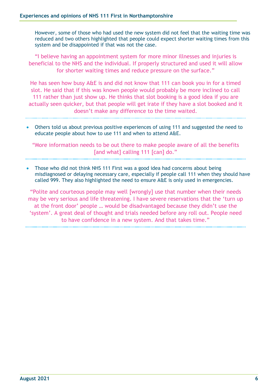However, some of those who had used the new system did not feel that the waiting time was reduced and two others highlighted that people could expect shorter waiting times from this system and be disappointed if that was not the case.

"I believe having an appointment system for more minor illnesses and injuries is beneficial to the NHS and the individual. If properly structured and used it will allow for shorter waiting times and reduce pressure on the surface."

He has seen how busy A&E is and did not know that 111 can book you in for a timed slot. He said that if this was known people would probably be more inclined to call 111 rather than just show up. He thinks that slot booking is a good idea if you are actually seen quicker, but that people will get irate if they have a slot booked and it doesn't make any difference to the time waited.

 Others told us about previous positive experiences of using 111 and suggested the need to educate people about how to use 111 and when to attend A&E.

"More information needs to be out there to make people aware of all the benefits [and what] calling 111 [can] do."

 Those who did not think NHS 111 First was a good idea had concerns about being misdiagnosed or delaying necessary care, especially if people call 111 when they should have called 999. They also highlighted the need to ensure A&E is only used in emergencies.

"Polite and courteous people may well [wrongly] use that number when their needs may be very serious and life threatening. I have severe reservations that the 'turn up at the front door' people … would be disadvantaged because they didn't use the 'system'. A great deal of thought and trials needed before any roll out. People need to have confidence in a new system. And that takes time."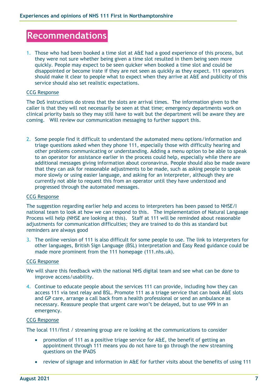# <span id="page-6-0"></span>**Recommendations**

1. Those who had been booked a time slot at A&E had a good experience of this process, but they were not sure whether being given a time slot resulted in them being seen more quickly. People may expect to be seen quicker when booked a time slot and could be disappointed or become irate if they are not seen as quickly as they expect. 111 operators should make it clear to people what to expect when they arrive at A&E and publicity of this service should also set realistic expectations.

#### CCG Response

The DoS instructions do stress that the slots are arrival times. The information given to the caller is that they will not necessarily be seen at that time; emergency departments work on clinical priority basis so they may still have to wait but the department will be aware they are coming. Will review our communication messaging to further support this.

2. Some people find it difficult to understand the automated menu options/information and triage questions asked when they phone 111, especially those with difficulty hearing and other problems communicating or understanding. Adding a menu option to be able to speak to an operator for assistance earlier in the process could help, especially while there are additional messages giving information about coronavirus. People should also be made aware that they can ask for reasonable adjustments to be made, such as asking people to speak more slowly or using easier language, and asking for an interpreter, although they are currently not able to request this from an operator until they have understood and progressed through the automated messages.

#### CCG Response

The suggestion regarding earlier help and access to interpreters has been passed to NHSE/I national team to look at how we can respond to this. The implementation of Natural Language Process will help (NHSE are looking at this). Staff at 111 will be reminded about reasonable adjustments for communication difficulties; they are trained to do this as standard but reminders are always good

3. The online version of 111 is also difficult for some people to use. The link to interpreters for other languages, British Sign Language (BSL) interpretation and Easy Read guidance could be made more prominent from the 111 homepage (111.nhs.uk).

#### CCG Response

- We will share this feedback with the national NHS digital team and see what can be done to improve access/usability.
- 4. Continue to educate people about the services 111 can provide, including how they can access 111 via text relay and BSL. Promote 111 as a triage service that can book A&E slots and GP care, arrange a call back from a health professional or send an ambulance as necessary. Reassure people that urgent care won't be delayed, but to use 999 in an emergency.

#### CCG Response

The local 111/first / streaming group are re looking at the communications to consider

- promotion of 111 as a positive triage service for A&E, the benefit of getting an appointment through 111 means you do not have to go through the new streaming questions on the IPADS
- review of signage and information in A&E for further visits about the benefits of using 111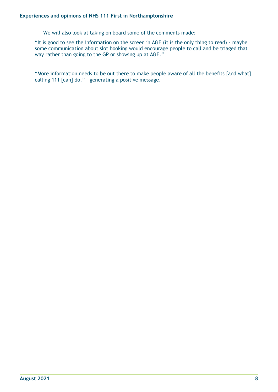We will also look at taking on board some of the comments made:

"It is good to see the information on the screen in A&E (it is the only thing to read) - maybe some communication about slot booking would encourage people to call and be triaged that way rather than going to the GP or showing up at A&E."

"More information needs to be out there to make people aware of all the benefits [and what] calling 111 [can] do." – generating a positive message.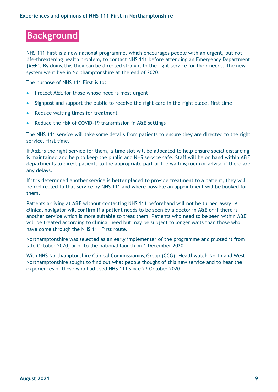# <span id="page-8-0"></span>**Background**

NHS 111 First is a new national programme, which encourages people with an urgent, but not life-threatening health problem, to contact NHS 111 before attending an Emergency Department (A&E). By doing this they can be directed straight to the right service for their needs. The new system went live in Northamptonshire at the end of 2020.

The purpose of NHS 111 First is to:

- Protect A&E for those whose need is most urgent
- Signpost and support the public to receive the right care in the right place, first time
- Reduce waiting times for treatment
- Reduce the risk of COVID-19 transmission in A&E settings

The NHS 111 service will take some details from patients to ensure they are directed to the right service, first time.

If A&E is the right service for them, a time slot will be allocated to help ensure social distancing is maintained and help to keep the public and NHS service safe. Staff will be on hand within A&E departments to direct patients to the appropriate part of the waiting room or advise if there are any delays.

If it is determined another service is better placed to provide treatment to a patient, they will be redirected to that service by NHS 111 and where possible an appointment will be booked for them.

Patients arriving at A&E without contacting NHS 111 beforehand will not be turned away. A clinical navigator will confirm if a patient needs to be seen by a doctor in A&E or if there is another service which is more suitable to treat them. Patients who need to be seen within A&E will be treated according to clinical need but may be subject to longer waits than those who have come through the NHS 111 First route.

Northamptonshire was selected as an early implementer of the programme and piloted it from late October 2020, prior to the national launch on 1 December 2020.

With NHS Northamptonshire Clinical Commissioning Group (CCG), Healthwatch North and West Northamptonshire sought to find out what people thought of this new service and to hear the experiences of those who had used NHS 111 since 23 October 2020.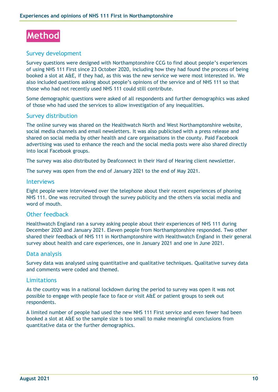<span id="page-9-0"></span>

### Survey development

Survey questions were designed with Northamptonshire CCG to find about people's experiences of using NHS 111 First since 23 October 2020, including how they had found the process of being booked a slot at A&E, if they had, as this was the new service we were most interested in. We also included questions asking about people's opinions of the service and of NHS 111 so that those who had not recently used NHS 111 could still contribute.

Some demographic questions were asked of all respondents and further demographics was asked of those who had used the services to allow investigation of any inequalities.

#### Survey distribution

The online survey was shared on the Healthwatch North and West Northamptonshire website, social media channels and email newsletters. It was also publicised with a press release and shared on social media by other health and care organisations in the county. Paid Facebook advertising was used to enhance the reach and the social media posts were also shared directly into local Facebook groups.

The survey was also distributed by Deafconnect in their Hard of Hearing client newsletter.

The survey was open from the end of January 2021 to the end of May 2021.

#### Interviews

Eight people were interviewed over the telephone about their recent experiences of phoning NHS 111. One was recruited through the survey publicity and the others via social media and word of mouth.

#### Other feedback

Healthwatch England ran a survey asking people about their experiences of NHS 111 during December 2020 and January 2021. Eleven people from Northamptonshire responded. Two other shared their feedback of NHS 111 in Northamptonshire with Healthwatch England in their general survey about health and care experiences, one in January 2021 and one in June 2021.

#### Data analysis

Survey data was analysed using quantitative and qualitative techniques. Qualitative survey data and comments were coded and themed.

#### Limitations

As the country was in a national lockdown during the period to survey was open it was not possible to engage with people face to face or visit A&E or patient groups to seek out respondents.

A limited number of people had used the new NHS 111 First service and even fewer had been booked a slot at A&E so the sample size is too small to make meaningful conclusions from quantitative data or the further demographics.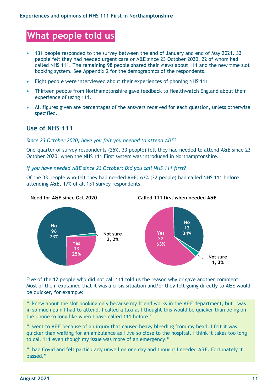# <span id="page-10-0"></span>**What people told us**

- 131 people responded to the survey between the end of January and end of May 2021. 33 people felt they had needed urgent care or A&E since 23 October 2020, 22 of whom had called NHS 111. The remaining 98 people shared their views about 111 and the new time slot booking system. See Appendix 2 for the demographics of the respondents.
- Eight people were interviewed about their experiences of phoning NHS 111.
- Thirteen people from Northamptonshire gave feedback to Healthwatch England about their experience of using 111.
- All figures given are percentages of the answers received for each question, unless otherwise specified.

# <span id="page-10-1"></span>**Use of NHS 111**

#### *Since 23 October 2020, have you felt you needed to attend A&E?*

One-quarter of survey respondents (25%, 33 people) felt they had needed to attend A&E since 23 October 2020, when the NHS 111 First system was introduced in Northamptonshire.

*If you have needed A&E since 23 October: Did you call NHS 111 first?*

Of the 33 people who felt they had needed A&E, 63% (22 people) had called NHS 111 before attending A&E, 17% of all 131 survey respondents.



Five of the 12 people who did not call 111 told us the reason why or gave another comment. Most of them explained that it was a crisis situation and/or they felt going directly to A&E would be quicker, for example:

"I knew about the slot booking only because my friend works in the A&E department, but I was in so much pain I had to attend. I called a taxi as I thought this would be quicker than being on the phone so long like when I have called 111 before."

"I went to A&E because of an injury that caused heavy bleeding from my head. I felt it was quicker than waiting for an ambulance as I live so close to the hospital. I think it takes too long to call 111 even though my issue was more of an emergency."

"I had Covid and felt particularly unwell on one day and thought I needed A&E. Fortunately it passed."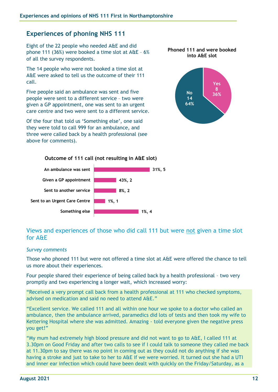## <span id="page-11-0"></span>**Experiences of phoning NHS 111**

Eight of the 22 people who needed A&E and did phone 111 (36%) were booked a time slot at A&E – 6% of all the survey respondents.

The 14 people who were not booked a time slot at A&E were asked to tell us the outcome of their 111 call.

Five people said an ambulance was sent and five people were sent to a different service – two were given a GP appointment, one was sent to an urgent care centre and two were sent to a different service.

Of the four that told us 'Something else', one said they were told to call 999 for an ambulance, and three were called back by a health professional (see above for comments).





#### **Outcome of 111 call (not resulting in A&E slot)**



### Views and experiences of those who did call 111 but were not given a time slot for A&E

#### *Survey comments*

Those who phoned 111 but were not offered a time slot at A&E were offered the chance to tell us more about their experiences.

Four people shared their experience of being called back by a health professional – two very promptly and two experiencing a longer wait, which increased worry:

"Received a very prompt call back from a health professional at 111 who checked symptoms, advised on medication and said no need to attend A&E."

"Excellent service. We called 111 and all within one hour we spoke to a doctor who called an ambulance, then the ambulance arrived, paramedics did lots of tests and then took my wife to Kettering Hospital where she was admitted. Amazing - told everyone given the negative press you get!"

"My mum had extremely high blood pressure and did not want to go to A&E, I called 111 at 3.30pm on Good Friday and after two calls to see if I could talk to someone they called me back at 11.30pm to say there was no point in coming out as they could not do anything if she was having a stroke and just to take to her to A&E if we were worried. It turned out she had a UTI and inner ear infection which could have been dealt with quickly on the Friday/Saturday, as a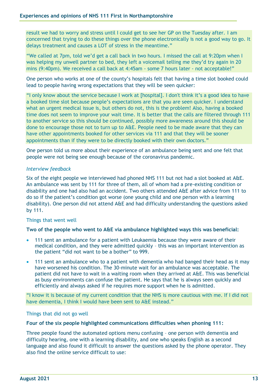result we had to worry and stress until I could get to see her GP on the Tuesday after. I am concerned that trying to do these things over the phone electronically is not a good way to go. It delays treatment and causes a LOT of stress in the meantime."

"We called at 7pm, told we'd get a call back in two hours. I missed the call at 9:20pm when I was helping my unwell partner to bed, they left a voicemail telling me they'd try again in 20 mins (9:40pm). We received a call back at 4:45am - some 7 hours later - not acceptable!"

One person who works at one of the county's hospitals felt that having a time slot booked could lead to people having wrong expectations that they will be seen quicker:

"I only know about the service because I work at [hospital]. I don't think it's a good idea to have a booked time slot because people's expectations are that you are seen quicker. I understand what an urgent medical issue is, but others do not, this is the problem! Also, having a booked time does not seem to improve your wait time. It is better that the calls are filtered through 111 to another service so this should be continued, possibly more awareness around this should be done to encourage those not to turn up to A&E. People need to be made aware that they can have other appointments booked for other services via 111 and that they will be sooner appointments than if they were to be directly booked with their own doctors."

One person told us more about their experience of an ambulance being sent and one felt that people were not being see enough because of the coronavirus pandemic.

#### *Interview feedback*

Six of the eight people we interviewed had phoned NHS 111 but not had a slot booked at A&E. An ambulance was sent by 111 for three of them, all of whom had a pre-existing condition or disability and one had also had an accident. Two others attended A&E after advice from 111 to do so if the patient's condition got worse (one young child and one person with a learning disability). One person did not attend A&E and had difficulty understanding the questions asked by 111.

#### Things that went well

#### **Two of the people who went to A&E via ambulance highlighted ways this was beneficial:**

- 111 sent an ambulance for a patient with Leukaemia because they were aware of their medical condition, and they were admitted quickly – this was an important intervention as the patient "did not want to be a bother" to 999.
- 111 sent an ambulance who to a patient with dementia who had banged their head as it may have worsened his condition. The 30-minute wait for an ambulance was acceptable. The patient did not have to wait in a waiting room when they arrived at A&E. This was beneficial as busy environments can confuse the patient. He says that he is always seen quickly and efficiently and always asked if he requires more support when he is admitted.

"I know it is because of my current condition that the NHS is more cautious with me. If I did not have dementia, I think I would have been sent to A&E instead."

Things that did not go well

#### **Four of the six people highlighted communications difficulties when phoning 111:**

Three people found the automated options menu confusing – one person with dementia and difficulty hearing, one with a learning disability, and one who speaks English as a second language and also found it difficult to answer the questions asked by the phone operator. They also find the online service difficult to use: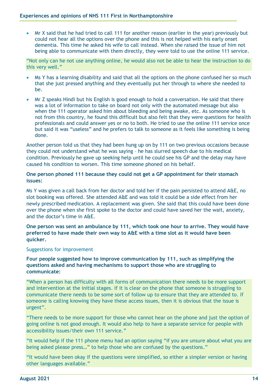Mr X said that he had tried to call 111 for another reason (earlier in the year) previously but could not hear all the options over the phone and this is not helped with his early onset dementia. This time he asked his wife to call instead. When she raised the issue of him not being able to communicate with them directly, they were told to use the online 111 service.

"Not only can he not use anything online, he would also not be able to hear the instruction to do this very well."

- Ms Y has a learning disability and said that all the options on the phone confused her so much that she just pressed anything and they eventually put her through to where she needed to be.
- Mr Z speaks Hindi but his English is good enough to hold a conversation. He said that there was a lot of information to take on board not only with the automated message but also when the 111 operator asked him about bleeding and being awake, etc. As someone who is not from this country, he found this difficult but also felt that they were questions for health professionals and could answer yes or no to both. He tried to use the online 111 service once but said it was "useless" and he prefers to talk to someone as it feels like something is being done.

Another person told us that they had been hung up on by 111 on two previous occasions because they could not understand what he was saying – he has slurred speech due to his medical condition. Previously he gave up seeking help until he could see his GP and the delay may have caused his condition to worsen. This time someone phoned on his behalf.

#### **One person phoned 111 because they could not get a GP appointment for their stomach issues:**

Ms Y was given a call back from her doctor and told her if the pain persisted to attend A&E, no slot booking was offered. She attended A&E and was told it could be a side effect from her newly prescribed medication. A replacement was given. She said that this could have been done over the phone when she first spoke to the doctor and could have saved her the wait, anxiety, and the doctor's time in A&E.

**One person was sent an ambulance by 111, which took one hour to arrive. They would have preferred to have made their own way to A&E with a time slot as it would have been quicker.**

#### Suggestions for improvement

**Four people suggested how to improve communication by 111, such as simplifying the questions asked and having mechanisms to support those who are struggling to communicate:**

"When a person has difficulty with all forms of communication there needs to be more support and intervention at the initial stages. If it is clear on the phone that someone is struggling to communicate there needs to be some sort of follow up to ensure that they are attended to. If someone is calling knowing they have these access issues, then it is obvious that the issue is urgent".

"There needs to be more support for those who cannot hear on the phone and just the option of going online is not good enough. It would also help to have a separate service for people with accessibility issues/their own 111 service."

"It would help if the 111 phone menu had an option saying "if you are unsure about what you are being asked please press…" to help those who are confused by the questions."

"It would have been okay if the questions were simplified, so either a simpler version or having other languages available."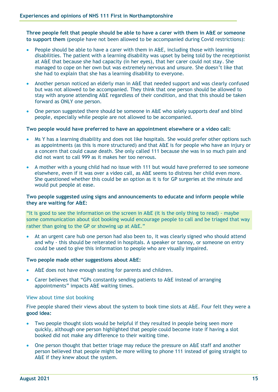**Three people felt that people should be able to have a carer with them in A&E or someone to support them** (people have not been allowed to be accompanied during Covid restrictions):

- People should be able to have a carer with them in A&E, including those with learning disabilities. The patient with a learning disability was upset by being told by the receptionist at A&E that because she had capacity (in her eyes), that her carer could not stay. She managed to cope on her own but was extremely nervous and unsure. She doesn't like that she had to explain that she has a learning disability to everyone.
- Another person noticed an elderly man in A&E that needed support and was clearly confused but was not allowed to be accompanied. They think that one person should be allowed to stay with anyone attending A&E regardless of their condition, and that this should be taken forward as ONLY one person.
- One person suggested there should be someone in A&E who solely supports deaf and blind people, especially while people are not allowed to be accompanied.

#### **Two people would have preferred to have an appointment elsewhere or a video call:**

- Ms Y has a learning disability and does not like hospitals. She would prefer other options such as appointments (as this is more structured) and that A&E is for people who have an injury or a concern that could cause death. She only called 111 because she was in so much pain and did not want to call 999 as it makes her too nervous.
- A mother with a young child had no issue with 111 but would have preferred to see someone elsewhere, even if it was over a video call, as A&E seems to distress her child even more. She questioned whether this could be an option as it is for GP surgeries at the minute and would put people at ease.

#### **Two people suggested using signs and announcements to educate and inform people while they are waiting for A&E:**

"It is good to see the information on the screen in A&E (it is the only thing to read) - maybe some communication about slot booking would encourage people to call and be triaged that way rather than going to the GP or showing up at A&E."

 At an urgent care hub one person had also been to, it was clearly signed who should attend and why - this should be reiterated in hospitals. A speaker or tannoy, or someone on entry could be used to give this information to people who are visually impaired.

#### **Two people made other suggestions about A&E:**

- A&E does not have enough seating for parents and children.
- Carer believes that "GPs constantly sending patients to A&E instead of arranging appointments" impacts A&E waiting times.

#### View about time slot booking

Five people shared their views about the system to book time slots at A&E. Four felt they were a **good idea:** 

- Two people thought slots would be helpful if they resulted in people being seen more quickly, although one person highlighted that people could become irate if having a slot booked did not make any difference to their waiting time.
- One person thought that better triage may reduce the pressure on A&E staff and another person believed that people might be more willing to phone 111 instead of going straight to A&E if they knew about the system.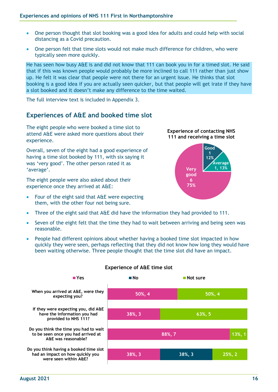- One person thought that slot booking was a good idea for adults and could help with social distancing as a Covid precaution.
- One person felt that time slots would not make much difference for children, who were typically seen more quickly.

He has seen how busy A&E is and did not know that 111 can book you in for a timed slot. He said that if this was known people would probably be more inclined to call 111 rather than just show up. He felt it was clear that people were not there for an urgent issue. He thinks that slot booking is a good idea if you are actually seen quicker, but that people will get irate if they have a slot booked and it doesn't make any difference to the time waited.

The full interview text is included in Appendix 3.

### <span id="page-15-0"></span>**Experiences of A&E and booked time slot**

The eight people who were booked a time slot to attend A&E were asked more questions about their experience.

Overall, seven of the eight had a good experience of having a time slot booked by 111, with six saying it was 'very good'. The other person rated it as 'average'.

The eight people were also asked about their experience once they arrived at A&E:

- Four of the eight said that A&E were expecting them, with the other four not being sure.
- Three of the eight said that A&E did have the information they had provided to 111.
- Seven of the eight felt that the time they had to wait between arriving and being seen was reasonable.

**Very good 6 75%**

**Good 1 12%**

**Experience of contacting NHS 111 and receiving a time slot**

> **Average 1, 13%**

 People had different opinions about whether having a booked time slot impacted in how quickly they were seen, perhaps reflecting that they did not know how long they would have been waiting otherwise. Three people thought that the time slot did have an impact.



#### **Experience of A&E time slot**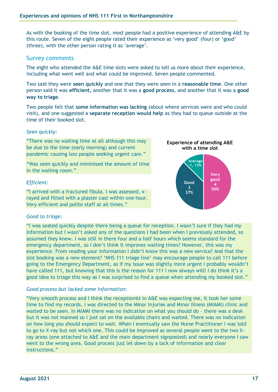As with the booking of the time slot, most people had a positive experience of attending A&E by this route. Seven of the eight people rated their experience as 'very good' (four) or 'good' (three), with the other person rating it as 'average'.

#### Survey comments

The eight who attended the A&E time slots were asked to tell us more about their experience, including what went well and what could be improved. Seven people commented.

Two said they were **seen quickly** and one that they were seen in a **reasonable time**. One other person said it was **efficient,** another that it was a **good process**, and another that it was a **good way to triage**.

Two people felt that **some information was lacking** (about where services were and who could visit), and one suggested a **separate reception would help** as they had to queue outside at the time of their booked slot.

#### *Seen quickly:*

"There was no waiting time at all although this may be due to the time (early morning) and current pandemic causing less people seeking urgent care."

"Was seen quickly and minimised the amount of time in the waiting room."

#### *Efficient:*

"I arrived with a fractured fibula. I was assessed, xrayed and fitted with a plaster cast within one hour. Very efficient and polite staff at all times."

### *Good to triage:*

"I was seated quickly despite there being a queue for reception. I wasn't sure if they had my information but I wasn't asked any of the questions I had been when I previously attended, so assumed they knew. I was still in there four and a half hours which seems standard for the emergency department, so I don't think it improves waiting times? However, this was my experience. From reading your information I didn't know this was a new service? And that the slot booking was a new element? 'NHS 111 triage line' may encourage people to call 111 before going to the Emergency Department, as if my issue was slightly more urgent I probably wouldn't have called 111, but knowing that this is the reason for 111 I now always will! I do think it's a good idea to triage this way as I was surprised to find a queue when attending my booked slot."

#### *Good process but lacked some information:*

"Very smooth process and I think the receptionist in A&E was expecting me, it took her some time to find my records. I was directed to the Minor Injuries and Minor Illness (MIAMI) clinic and waited to be seen. In MIAMI there was no indication on what you should do - there was a desk but it was not manned so I just sat on the available chairs and waited. There was no indication on how long you should expect to wait. When I eventually saw the Nurse Practitioner I was told to go to X-ray but not which one. This could be improved as several people went to the two Xray areas (one attached to A&E and the main department signposted) and nearly everyone I saw went to the wrong area. Good process just let down by a lack of information and clear instructions."

**Very good 4 50%**

**Good 3 37%**

**Average 1, 13%**

**Experience of attending A&E with a time slot**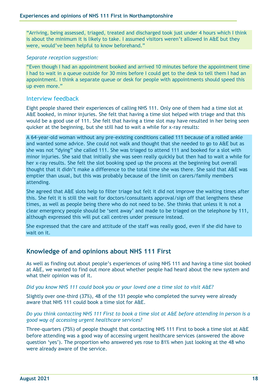"Arriving, being assessed, triaged, treated and discharged took just under 4 hours which I think is about the minimum it is likely to take. I assumed visitors weren't allowed in A&E but they were, would've been helpful to know beforehand."

#### *Separate reception suggestion:*

"Even though I had an appointment booked and arrived 10 minutes before the appointment time I had to wait in a queue outside for 30 mins before I could get to the desk to tell them I had an appointment. I think a separate queue or desk for people with appointments should speed this up even more."

### Interview feedback

Eight people shared their experiences of calling NHS 111. Only one of them had a time slot at A&E booked, in minor injuries. She felt that having a time slot helped with triage and that this would be a good use of 111. She felt that having a time slot may have resulted in her being seen quicker at the beginning, but she still had to wait a while for x-ray results:

A 64-year-old woman without any pre-existing conditions called 111 because of a rolled ankle and wanted some advice. She could not walk and thought that she needed to go to A&E but as she was not "dying" she called 111. She was triaged to attend 111 and booked for a slot with minor injuries. She said that initially she was seen really quickly but then had to wait a while for her x-ray results. She felt the slot booking sped up the process at the beginning but overall thought that it didn't make a difference to the total time she was there. She said that A&E was emptier than usual, but this was probably because of the limit on carers/family members attending.

She agreed that A&E slots help to filter triage but felt it did not improve the waiting times after this. She felt it is still the wait for doctors/consultants approval/sign off that lengthens these times, as well as people being there who do not need to be. She thinks that unless it is not a clear emergency people should be 'sent away' and made to be triaged on the telephone by 111, although expressed this will put call centres under pressure instead.

She expressed that the care and attitude of the staff was really good, even if she did have to wait on it.

### <span id="page-17-0"></span>**Knowledge of and opinions about NHS 111 First**

As well as finding out about people's experiences of using NHS 111 and having a time slot booked at A&E, we wanted to find out more about whether people had heard about the new system and what their opinion was of it.

#### *Did you know NHS 111 could book you or your loved one a time slot to visit A&E?*

Slightly over one-third (37%), 48 of the 131 people who completed the survey were already aware that NHS 111 could book a time slot for A&E.

#### *Do you think contacting NHS 111 First to book a time slot at A&E before attending in person is a good way of accessing urgent healthcare services?*

Three-quarters (75%) of people thought that contacting NHS 111 First to book a time slot at A&E before attending was a good way of accessing urgent healthcare services (answered the above question 'yes'). The proportion who answered yes rose to 81% when just looking at the 48 who were already aware of the service.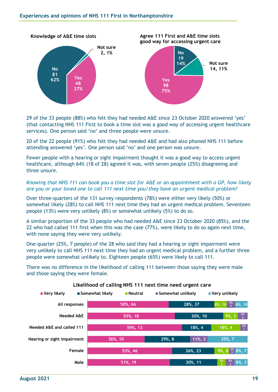

29 of the 33 people (88%) who felt they had needed A&E since 23 October 2020 answered 'yes' (that contacting NHS 111 First to book a time slot was a good way of accessing urgent healthcare services). One person said 'no' and three people were unsure.

20 of the 22 people (91%) who felt they had needed A&E and had also phoned NHS 111 before attending answered 'yes'. One person said 'no' and one person was unsure.

Fewer people with a hearing or sight impairment thought it was a good way to access urgent healthcare, although 64% (18 of 28) agreed it was, with seven people (25%) disagreeing and three unsure.

*Knowing that NHS 111 can book you a time slot for A&E or an appointment with a GP, how likely are you or your loved one to call 111 next time you/they have an urgent medical problem?*

Over three-quarters of the 131 survey respondents (78%) were either very likely (50%) or somewhat likely (28%) to call NHS 111 next time they had an urgent medical problem. Seventeen people (13%) were very unlikely (8%) or somewhat unlikely (5%) to do so.

A similar proportion of the 33 people who had needed A&E since 23 October 2020 (85%), and the 22 who had called 111 first when this was the case (77%), were likely to do so again next time, with none saying they were very unlikely.

One-quarter (25%, 7 people) of the 28 who said they had a hearing or sight impairment were very unlikely to call NHS 111 next time they had an urgent medical problem, and a further three people were somewhat unlikely to. Eighteen people (65%) were likely to call 111.

There was no difference in the likelihood of calling 111 between those saying they were male and those saying they were female.



#### **Likelihood of calling NHS 111 next time need urgent care**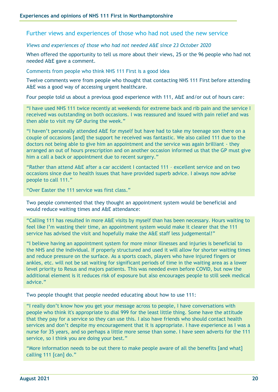Further views and experiences of those who had not used the new service

*Views and experiences of those who had not needed A&E since 23 October 2020*

When offered the opportunity to tell us more about their views, 25 or the 96 people who had not needed A&E gave a comment.

Comments from people who think NHS 111 First is a good idea

Twelve comments were from people who thought that contacting NHS 111 First before attending A&E was a good way of accessing urgent healthcare.

Four people told us about a previous good experience with 111, A&E and/or out of hours care:

"I have used NHS 111 twice recently at weekends for extreme back and rib pain and the service I received was outstanding on both occasions. I was reassured and issued with pain relief and was then able to visit my GP during the week."

"I haven't personally attended A&E for myself but have had to take my teenage son there on a couple of occasions [and] the support he received was fantastic. We also called 111 due to the doctors not being able to give him an appointment and the service was again brilliant - they arranged an out of hours prescription and on another occasion informed us that the GP must give him a call a back or appointment due to recent surgery."

"Rather than attend A&E after a car accident I contacted 111 – excellent service and on two occasions since due to health issues that have provided superb advice. I always now advise people to call 111."

"Over Easter the 111 service was first class."

Two people commented that they thought an appointment system would be beneficial and would reduce waiting times and A&E attendance:

"Calling 111 has resulted in more A&E visits by myself than has been necessary. Hours waiting to feel like I'm wasting their time, an appointment system would make it clearer that the 111 service has advised the visit and hopefully make the A&E staff less judgemental!"

"I believe having an appointment system for more minor illnesses and injuries is beneficial to the NHS and the individual. If properly structured and used it will allow for shorter waiting times and reduce pressure on the surface. As a sports coach, players who have injured fingers or ankles, etc. will not be sat waiting for significant periods of time in the waiting area as a lower level priority to Resus and majors patients. This was needed even before COVID, but now the additional element is it reduces risk of exposure but also encourages people to still seek medical advice."

Two people thought that people needed educating about how to use 111:

"I really don't know how you get your message across to people, I have conversations with people who think it's appropriate to dial 999 for the least little thing. Some have the attitude that they pay for a service so they can use this. I also have friends who should contact health services and don't despite my encouragement that it is appropriate. I have experience as I was a nurse for 35 years, and so perhaps a little more sense than some. I have seen adverts for the 111 service, so I think you are doing your best."

"More information needs to be out there to make people aware of all the benefits [and what] calling 111 [can] do."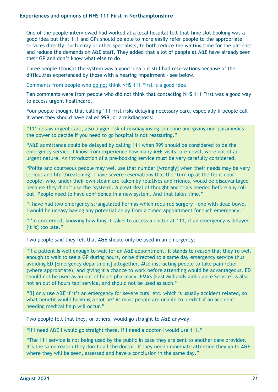One of the people interviewed had worked at a local hospital felt that time slot booking was a good idea but that 111 and GPs should be able to more easily refer people to the appropriate services directly, such x-ray or other specialists, to both reduce the waiting time for the patients and reduce the demands on A&E staff. They added that a lot of people at A&E have already seen their GP and don't know what else to do.

Three people thought the system was a good idea but still had reservations because of the difficulties experienced by those with a hearing impairment – see below.

Comments from people who do not think NHS 111 First is a good idea

Ten comments were from people who did not think that contacting NHS 111 First was a good way to access urgent healthcare.

Four people thought that calling 111 first risks delaying necessary care, especially if people call it when they should have called 999, or a misdiagnosis:

"111 delays urgent care, also bigger risk of misdiagnosing someone and giving non-paramedics the power to decide if you need to go hospital is not reassuring."

"A&E admittance could be delayed by calling 111 when 999 should be considered to be the emergency service. I know from experience how many A&E visits, pre-covid, were not of an urgent nature. An introduction of a pre-booking service must be very carefully considered.

"Polite and courteous people may well use that number [wrongly] when their needs may be very serious and life threatening. I have severe reservations that the 'turn up at the front door' people, who, under their own steam are taken by relatives and friends, would be disadvantaged because they didn't use the 'system'. A great deal of thought and trials needed before any roll out. People need to have confidence in a new system. And that takes time."

"I have had two emergency strangulated hernias which required surgery - one with dead bowel - I would be uneasy having any potential delay from a timed appointment for such emergency."

"I'm concerned, knowing how long it takes to access a doctor at 111, if an emergency is delayed [it is] too late."

Two people said they felt that A&E should only be used in an emergency:

"If a patient is well enough to wait for an A&E appointment, it stands to reason that they're well enough to wait to see a GP during hours, or be directed to a same day emergency service thus avoiding ED [Emergency department] altogether. Also instructing people to take pain relief (where appropriate), and giving it a chance to work before attending would be advantageous. ED should not be used as an out of hours pharmacy. EMAS [East Midlands ambulance Service] is also not an out of hours taxi service, and should not be used as such."

"[I] only use A&E if it's an emergency for severe cuts, etc. which is usually accident related, so what benefit would booking a slot be? As most people are unable to predict if an accident needing medical help will occur."

Two people felt that they, or others, would go straight to A&E anyway:

"If I need A&E I would go straight there. If I need a doctor I would use 111."

"The 111 service is not being used by the public in case they are sent to another care provider. It's the same reason they don't call the doctor. If they need immediate attention they go to A&E where they will be seen, assessed and have a conclusion in the same day."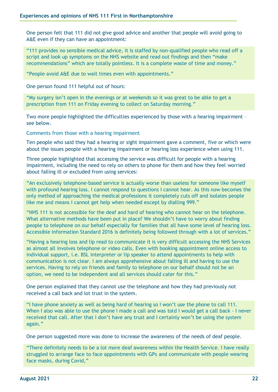One person felt that 111 did not give good advice and another that people will avoid going to A&E even if they can have an appointment:

"111 provides no sensible medical advice, it is staffed by non-qualified people who read off a script and look up symptoms on the NHS website and read out findings and then "make recommendations" which are totally pointless. It is a complete waste of time and money."

"People avoid A&E due to wait times even with appointments."

One person found 111 helpful out of hours:

"My surgery isn't open in the evenings or at weekends so it was great to be able to get a prescription from 111 on Friday evening to collect on Saturday morning."

Two more people highlighted the difficulties experienced by those with a hearing impairment – see below.

Comments from those with a hearing impairment

Ten people who said they had a hearing or sight impairment gave a comment, five or which were about the issues people with a hearing impairment or hearing loss experience when using 111.

Three people highlighted that accessing the service was difficult for people with a hearing impairment, including the need to rely on others to phone for them and how they feel worried about falling ill or excluded from using services:

"An exclusively telephone-based service is actually worse than useless for someone like myself with profound hearing loss. I cannot respond to questions I cannot hear. As this now becomes the only method of approaching the medical professions it completely cuts off and isolates people like me and means I cannot get help when needed except by dialling 999."

"NHS 111 is not accessible for the deaf and hard of hearing who cannot hear on the telephone. What alternative methods have been put in place? We shouldn't have to worry about finding people to telephone on our behalf especially for families that all have some level of hearing loss. Accessible Information Standard 2016 is definitely being followed through with a lot of services."

"Having a hearing loss and lip read to communicate it is very difficult accessing the NHS Services as almost all involves telephone or video calls. Even with booking appointment online access to individual support, i.e. BSL interpreter or lip speaker to attend appointments to help with communication is not clear. I am always apprehensive about falling ill and having to use the services. Having to rely on friends and family to telephone on our behalf should not be an option, we need to be independent and all services should cater for this."

One person explained that they cannot use the telephone and how they had previously not received a call back and lot trust in the system.

"I have phone anxiety as well as being hard of hearing so I won't use the phone to call 111. When I also was able to use the phone I made a call and was told I would get a call back - I never received that call. After that I don't have any trust and I certainly won't be using the system again."

One person suggested more was done to increase the awareness of the needs of deaf people.

"There definitely needs to be a lot more deaf awareness within the Health Service. I have really struggled to arrange face to face appointments with GPs and communicate with people wearing face masks, during Covid,"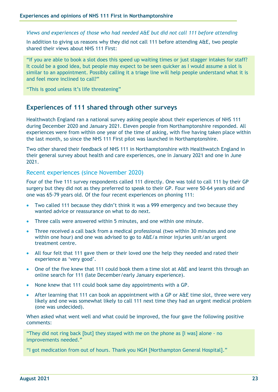*Views and experiences of those who had needed A&E but did not call 111 before attending*

In addition to giving us reasons why they did not call 111 before attending A&E, two people shared their views about NHS 111 First:

"If you are able to book a slot does this speed up waiting times or just stagger intakes for staff? It could be a good idea, but people may expect to be seen quicker as I would assume a slot is similar to an appointment. Possibly calling it a triage line will help people understand what it is and feel more inclined to call?"

"This is good unless it's life threatening"

### <span id="page-22-0"></span>**Experiences of 111 shared through other surveys**

Healthwatch England ran a national survey asking people about their experiences of NHS 111 during December 2020 and January 2021. Eleven people from Northamptonshire responded. All experiences were from within one year of the time of asking, with five having taken place within the last month, so since the NHS 111 First pilot was launched in Northamptonshire.

Two other shared their feedback of NHS 111 in Northamptonshire with Healthwatch England in their general survey about health and care experiences, one in January 2021 and one in June 2021.

#### Recent experiences (since November 2020)

Four of the five 111 survey respondents called 111 directly. One was told to call 111 by their GP surgery but they did not as they preferred to speak to their GP. Four were 50-64 years old and one was 65-79 years old. Of the four recent experiences on phoning 111:

- Two called 111 because they didn't think it was a 999 emergency and two because they wanted advice or reassurance on what to do next.
- Three calls were answered within 5 minutes, and one within one minute.
- Three received a call back from a medical professional (two within 30 minutes and one within one hour) and one was advised to go to A&E/a minor injuries unit/an urgent treatment centre.
- All four felt that 111 gave them or their loved one the help they needed and rated their experience as 'very good'.
- One of the five knew that 111 could book them a time slot at A&E and learnt this through an online search for 111 (late December/early January experience).
- None knew that 111 could book same day appointments with a GP.
- After learning that 111 can book an appointment with a GP or A&E time slot, three were very likely and one was somewhat likely to call 111 next time they had an urgent medical problem (one was undecided).

When asked what went well and what could be improved, the four gave the following positive comments:

"They did not ring back [but] they stayed with me on the phone as [I was] alone - no improvements needed."

"I got medication from out of hours. Thank you NGH [Northampton General Hospital]."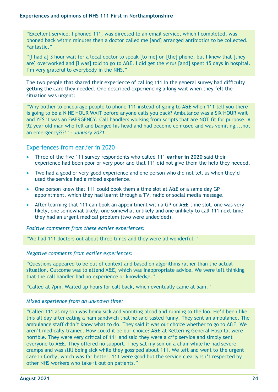"Excellent service. I phoned 111, was directed to an email service, which I completed, was phoned back within minutes then a doctor called me [and] arranged antibiotics to be collected. Fantastic."

"[I had a] 3 hour wait for a local doctor to speak [to me] on [the] phone, but I knew that [they are] overworked and [I was] told to go to A&E. I did get the virus [and] spent 15 days in hospital. I'm very grateful to everybody in the NHS."

The two people that shared their experience of calling 111 in the general survey had difficulty getting the care they needed. One described experiencing a long wait when they felt the situation was urgent:

"Why bother to encourage people to phone 111 instead of going to A&E when 111 tell you there is going to be a NINE HOUR WAIT before anyone calls you back? Ambulance was a SIX HOUR wait and YES it was an EMERGENCY. Call handlers working from scripts that are NOT fit for purpose. A 92 year old man who fell and banged his head and had become confused and was vomiting....not an emergency????" *– January 2021*

### Experiences from earlier in 2020

- Three of the five 111 survey respondents who called 111 **earlier in 2020** said their experience had been poor or very poor and that 111 did not give them the help they needed.
- Two had a good or very good experience and one person who did not tell us when they'd used the service had a mixed experience.
- One person knew that 111 could book them a time slot at A&E or a same day GP appointment, which they had learnt through a TV, radio or social media message.
- After learning that 111 can book an appointment with a GP or A&E time slot, one was very likely, one somewhat likely, one somewhat unlikely and one unlikely to call 111 next time they had an urgent medical problem (two were undecided).

*Positive comments from these earlier experiences:*

"We had 111 doctors out about three times and they were all wonderful."

#### *Negative comments from earlier experiences:*

"Questions appeared to be out of context and based on algorithms rather than the actual situation. Outcome was to attend A&E, which was inappropriate advice. We were left thinking that the call handler had no experience or knowledge."

"Called at 7pm. Waited up hours for call back, which eventually came at 5am."

#### *Mixed experience from an unknown time:*

"Called 111 as my son was being sick and vomiting blood and running to the loo. He'd been like this all day after eating a ham sandwich that he said tasted funny. They sent an ambulance. The ambulance staff didn't know what to do. They said it was our choice whether to go to A&E. We aren't medically trained. How could it be our choice? A&E at Kettering General Hospital were horrible. They were very critical of 111 and said they were a c\*\*p service and simply sent everyone to A&E. They offered no support. They sat my son on a chair while he had severe cramps and was still being sick while they gossiped about 111. We left and went to the urgent care in Corby, which was far better. 111 were good but the service clearly isn't respected by other NHS workers who take it out on patients."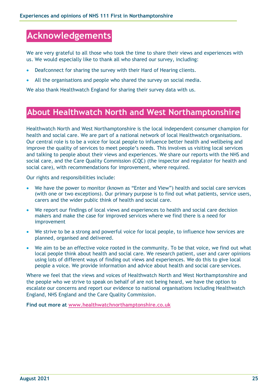# <span id="page-24-0"></span>**Acknowledgements**

We are very grateful to all those who took the time to share their views and experiences with us. We would especially like to thank all who shared our survey, including:

- Deafconnect for sharing the survey with their Hard of Hearing clients.
- All the organisations and people who shared the survey on social media.

We also thank Healthwatch England for sharing their survey data with us.

# <span id="page-24-1"></span>**About Healthwatch North and West Northamptonshire**

Healthwatch North and West Northamptonshire is the local independent consumer champion for health and social care. We are part of a national network of local Healthwatch organisations. Our central role is to be a voice for local people to influence better health and wellbeing and improve the quality of services to meet people's needs. This involves us visiting local services and talking to people about their views and experiences. We share our reports with the NHS and social care, and the Care Quality Commission (CQC) (the inspector and regulator for health and social care), with recommendations for improvement, where required.

Our rights and responsibilities include:

- We have the power to monitor (known as "Enter and View") health and social care services (with one or two exceptions). Our primary purpose is to find out what patients, service users, carers and the wider public think of health and social care.
- We report our findings of local views and experiences to health and social care decision makers and make the case for improved services where we find there is a need for improvement
- We strive to be a strong and powerful voice for local people, to influence how services are planned, organised and delivered.
- We aim to be an effective voice rooted in the community. To be that voice, we find out what local people think about health and social care. We research patient, user and carer opinions using lots of different ways of finding out views and experiences. We do this to give local people a voice. We provide information and advice about health and social care services.

Where we feel that the views and voices of Healthwatch North and West Northamptonshire and the people who we strive to speak on behalf of are not being heard, we have the option to escalate our concerns and report our evidence to national organisations including Healthwatch England, NHS England and the Care Quality Commission.

**Find out more at [www.healthwatchnorthamptonshire.co.uk](http://www.healthwatchnorthamptonshire.co.uk/)**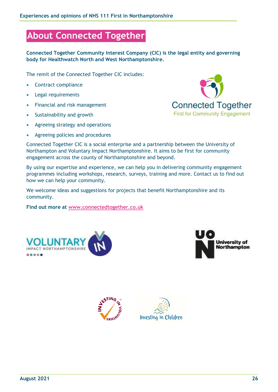# <span id="page-25-0"></span>**About Connected Together**

**Connected Together Community Interest Company (CIC) is the legal entity and governing body for Healthwatch North and West Northamptonshire.**

The remit of the Connected Together CIC includes:

- Contract compliance
- Legal requirements
- Financial and risk management
- Sustainability and growth
- Agreeing strategy and operations
- Agreeing policies and procedures



Connected Together CIC is a social enterprise and a partnership between the University of Northampton and Voluntary Impact Northamptonshire. It aims to be first for community engagement across the county of Northamptonshire and beyond.

By using our expertise and experience, we can help you in delivering community engagement programmes including workshops, research, surveys, training and more. Contact us to find out how we can help your community.

We welcome ideas and suggestions for projects that benefit Northamptonshire and its community.

**Find out more at [www.connectedtogether.co.uk](http://www.connectedtogether.co.uk/)**







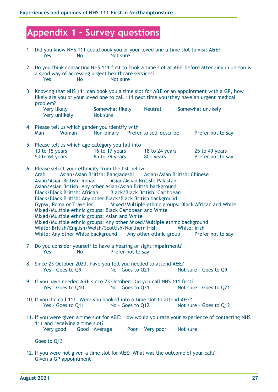# <span id="page-26-0"></span>**Appendix 1 – Survey questions**

- 1. Did you know NHS 111 could book you or your loved one a time slot to visit A&E? Yes No Not sure
- 2. Do you think contacting NHS 111 first to book a time slot at A&E before attending in person is a good way of accessing urgent healthcare services? Yes No Not sure
- 3. Knowing that NHS 111 can book you a time slot for A&E or an appointment with a GP, how likely are you or your loved one to call 111 next time you/they have an urgent medical problem?

| Very likely   | Somewhat likely | <b>Neutral</b> | Somewhat unlikely |
|---------------|-----------------|----------------|-------------------|
| Very unlikely | Not sure        |                |                   |

4. Please tell us which gender you identify with Man Woman Non-binary Prefer to self-describe Prefer not to say

| 5. Please tell us which age category you fall into |                |                |                   |
|----------------------------------------------------|----------------|----------------|-------------------|
| 13 to 15 years                                     | 16 to 17 years | 18 to 24 years | 25 to 49 years    |
| 50 to 64 years                                     | 65 to 79 years | $80+$ years    | Prefer not to say |

- 6. Please select your ethnicity from the list below Arab Asian/Asian British: Bangladeshi Asian/Asian British: Chinese Asian/Asian British: Indian Asian/Asian British: Pakistani Asian/Asian British: Any other Asian/Asian British background Black/Black British: African Black/Black British: Caribbean Black/Black British: Any other Black/Black British background Gypsy, Roma or Traveller Mixed/Multiple ethnic groups: Black African and White Mixed/Multiple ethnic groups: Black Caribbean and White Mixed/Multiple ethnic groups: Asian and White Mixed/Multiple ethnic groups: Any other Mixed/Multiple ethnic background White: British/English/Welsh/Scottish/Northern Irish White: Irish White: Any other White background Any other ethnic group Prefer not to say
- 7. Do you consider yourself to have a hearing or sight impairment? Yes No Prefer not to say
- 8. Since 23 October 2020, have you felt you needed to attend A&E? Yes - Goes to Q9 No - Goes to Q21 Not sure - Goes to Q9
- 9. If you have needed A&E since 23 October: Did you call NHS 111 first? Yes - Goes to Q10 No - Goes to Q21 Not sure - Goes to Q21
- 10. If you did call 111: Were you booked into a time slot to attend A&E? Yes – Goes to Q11 No – Goes to Q12 Not sure – Goes to Q12
- 11. If you were given a time slot for A&E: How would you rate your experience of contacting NHS 111 and receiving a time slot? Very good Good Average Poor Very poor Not sure

Goes to Q13

12. If you were not given a time slot for A&E: What was the outcome of your call? Given a GP appointment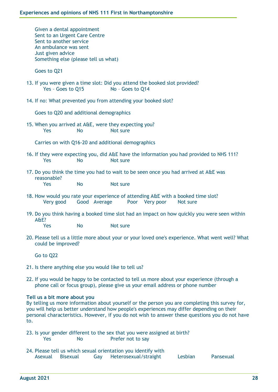Given a dental appointment Sent to an Urgent Care Centre Sent to another service An ambulance was sent Just given advice Something else (please tell us what)

Goes to Q21

- 13. If you were given a time slot: Did you attend the booked slot provided? Yes - Goes to Q15 No - Goes to Q14
- 14. If no: What prevented you from attending your booked slot?

Goes to Q20 and additional demographics

15. When you arrived at A&E, were they expecting you? Yes No Not sure

Carries on with Q16-20 and additional demographics

- 16. If they were expecting you, did A&E have the information you had provided to NHS 111? Yes No Not sure
- 17. Do you think the time you had to wait to be seen once you had arrived at A&E was reasonable?

Yes No Not sure

- 18. How would you rate your experience of attending A&E with a booked time slot? Very good Good Average Poor Very poor Not sure
- 19. Do you think having a booked time slot had an impact on how quickly you were seen within A&E?

Yes No Not sure

20. Please tell us a little more about your or your loved one's experience. What went well? What could be improved?

Go to Q22

- 21. Is there anything else you would like to tell us?
- 22. If you would be happy to be contacted to tell us more about your experience (through a phone call or focus group), please give us your email address or phone number

#### **Tell us a bit more about you**

By telling us more information about yourself or the person you are completing this survey for, you will help us better understand how people's experiences may differ depending on their personal characteristics. However, if you do not wish to answer these questions you do not have to.

- 23. Is your gender different to the sex that you were assigned at birth? Yes No Prefer not to say
- 24. Please tell us which sexual orientation you identify with Asexual Bisexual Gay Heterosexual/straight Lesbian Pansexual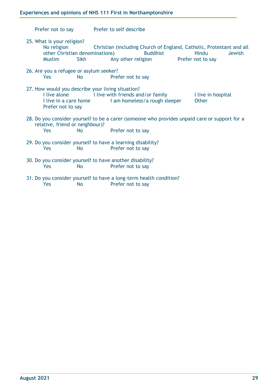Prefer not to say Prefer to self describe

- 25. What is your religion? No religion Christian (including Church of England, Catholic, Protestant and all other Christian denominations) Buddhist Hindu Jewish Muslim Sikh Any other religion Prefer not to say
- 26. Are you a refugee or asylum seeker? Yes No Prefer not to say
- 27. How would you describe your living situation? I live alone I live with friends and/or family I live in hospital I live in a care home I am homeless/a rough sleeper Other Prefer not to say
- 28. Do you consider yourself to be a carer (someone who provides unpaid care or support for a relative, friend or neighbour)? Yes No Prefer not to say
- 29. Do you consider yourself to have a learning disability? Yes No Prefer not to say
- 30. Do you consider yourself to have another disability? Yes No Prefer not to say
- 31. Do you consider yourself to have a long-term health condition? Yes No Prefer not to say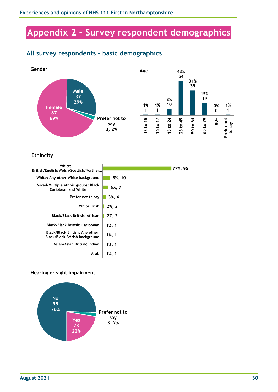# <span id="page-29-0"></span>**Appendix 2 – Survey respondent demographics**

# <span id="page-29-1"></span>**All survey respondents – basic demographics**



#### **Ethincity**

| White:<br>British/English/Welsh/Scottish/Norther                        |             | 77%, 95 |
|-------------------------------------------------------------------------|-------------|---------|
| White: Any other White background                                       | 8%, 10      |         |
| Mixed/Multiple ethnic groups: Black<br>Caribbean and White              | $6\%$ , 7   |         |
| Prefer not to say                                                       | 3%, 4       |         |
| White: Irish                                                            | $2\%$ , $2$ |         |
| <b>Black/Black British: African</b>                                     | $2\%$ , 2   |         |
| Black/Black British: Caribbean                                          | $1\%, 1$    |         |
| Black/Black British: Any other<br><b>Black/Black British background</b> | $1\%, 1$    |         |
| Asian/Asian British: Indian                                             | $1\%$ , 1   |         |
| Arab                                                                    | 1%, 1       |         |

#### **Hearing or sight impairment**

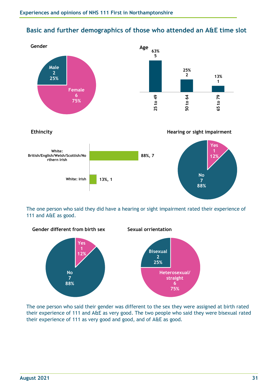# <span id="page-30-0"></span>**Basic and further demographics of those who attended an A&E time slot**





The one person who said they did have a hearing or sight impairment rated their experience of 111 and A&E as good.



The one person who said their gender was different to the sex they were assigned at birth rated their experience of 111 and A&E as very good. The two people who said they were bisexual rated their experience of 111 as very good and good, and of A&E as good.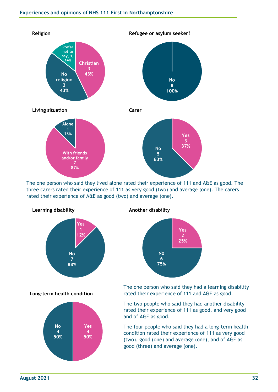

The one person who said they lived alone rated their experience of 111 and A&E as good. The three carers rated their experience of 111 as very good (two) and average (one). The carers rated their experience of A&E as good (two) and average (one).



**Long-term health condition**



**Another disability**



The one person who said they had a learning disability rated their experience of 111 and A&E as good.

The two people who said they had another disability rated their experience of 111 as good, and very good and of A&E as good.

The four people who said they had a long-term health condition rated their experience of 111 as very good (two), good (one) and average (one), and of A&E as good (three) and average (one).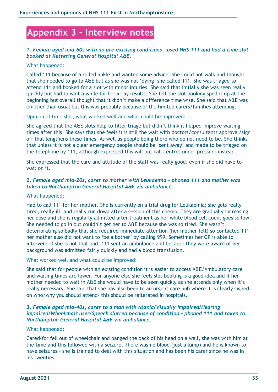# <span id="page-32-0"></span>**Appendix 3 – Interview notes**

#### *1. Female aged mid-60s with no pre-existing conditions – used NHS 111 and had a time slot booked at Kettering General Hospital A&E.*

#### What happened:

Called 111 because of a rolled ankle and wanted some advice. She could not walk and thought that she needed to go to A&E but as she was not 'dying' she called 111. She was triaged to attend 111 and booked for a slot with minor injuries. She said that initially she was seen really quickly but had to wait a while for her x-ray results. She felt the slot booking sped it up at the beginning but overall thought that it didn't make a difference time wise. She said that A&E was emptier than usual but this was probably because of the limited carers/families attending.

Opinion of time slot, what worked well and what could be improved:

She agreed that the A&E slots help to filter triage but didn't think it helped improve waiting times after this. She says that she feels it is still the wait with doctors/consultants approval/sign off that lengthens these times. As well as people being there who do not need to be. She thinks that unless it is not a clear emergency people should be 'sent away' and made to be triaged on the telephone by 111, although expressed this will put call centres under pressure instead.

She expressed that the care and attitude of the staff was really good, even if she did have to wait on it.

#### *2. Female aged mid-20s, carer to mother with Leukaemia – phoned 111 and mother was taken to Northampton General Hospital A&E via ambulance.*

#### What happened:

Had to call 111 for her mother. She is currently on a trial drug for Leukaemia; she gets really tired, really ill, and really run down after a session of this chemo. They are gradually increasing her dose and she is regularly admitted after treatment as her white blood cell count goes so low. She needed to go in but couldn't get her to A&E because she was so tired. She wasn't deteriorating so badly that she required immediate attention (her mother felt) so contacted 111 her mother also did not want to 'be a bother' by calling 999. Sometimes her GP is able to intervene if she is not that bad. 111 sent an ambulance and because they were aware of her background was admitted fairly quickly and had a blood transfusion.

What worked well and what could be improved:

She said that for people with an existing condition it is easier to access A&E/Ambulatory care and waiting times are lower. For anyone else she feels slot booking is a good idea and if her mother needed to wait in A&E she would have to be seen quickly as she attends only when it's really necessary. She said that she has also been to an urgent care hub where it is clearly signed on who/why you should attend- this should be reiterated in hospitals.

#### *3. Female aged mid-40s, carer to a man with Ataxia/Visually impaired/Hearing impaired/Wheelchair user/Speech slurred because of condition – phoned 111 and taken to Northampton General Hospital A&E via ambulance.*

#### What happened:

Cared-for fell out of wheelchair and banged the back of his head on a wall, she was with him at the time and this followed with a seizure. There was no blood (just a lump) and he is known to have seizures - she is trained to deal with this situation and has been his carer since he was in his twenties.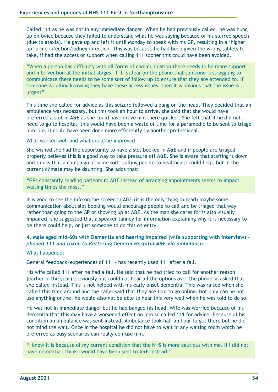Called 111 as he was not in any immediate danger. When he had previously called, he was hung up on twice because they failed to understand what he was saying because of his slurred speech (due to ataxia). He gave up and left it until Monday to speak with his GP, resulting in a 'higher up' urine infection/kidney infection. This was because he had been given the wrong tablets to take, if had the access or support when calling 111 sooner this could have been avoided.

"When a person has difficulty with all forms of communication there needs to be more support and intervention at the initial stages. If it is clear on the phone that someone is struggling to communicate there needs to be some sort of follow up to ensure that they are attended to. If someone is calling knowing they have these access issues, then it is obvious that the issue is urgent".

This time she called for advice as this seizure followed a bang on the head. They decided that an ambulance was necessary, but this took an hour to arrive, she said that she would have preferred a slot in A&E as she could have drove him there quicker. She felt that if he did not need to go to hospital, this would have been a waste of time for a paramedic to be sent to triage him, i.e. it could have been done more efficiently by another professional.

What worked well and what could be improved:

She wished she had the opportunity to have a slot booked in A&E and if people are triaged properly believes this is a good way to take pressure off A&E. She is aware that staffing is down and thinks that a campaign of some sort, calling people to healthcare could help, but in the current climate may be daunting. She adds that:

"GPs constantly sending patients to A&E instead of arranging appointments seems to impact waiting times the most."

It is good to see the info on the screen in A&E (it is the only thing to read) maybe some communication about slot booking would encourage people to call and be triaged that way rather than going to the GP or showing up at A&E. As the man she cares for is also visually impaired, she suggested that a speaker tannoy for information explaining why it is necessary to be there could help, or just someone to do this on entry.

#### **4. Male aged mid-60s with Dementia and hearing impaired (wife supporting with interview)** *– phoned 111 and taken to Kettering General Hospital A&E via ambulance.*

#### What happened:

General feedback/experiences of 111 - has recently used 111 after a fall.

His wife called 111 after he had a fall. He said that he had tried to call for another reason (earlier in the year) previously but could not hear all the options over the phone so asked that she called instead. This is not helped with his early onset dementia. This was raised when she called this time around and the caller said that they are told to go online. Not only can he not use anything online, he would also not be able to hear this very well when he was told to do so.

He was not in immediate danger but he had banged his head. Wife was worried because of his dementia that this may have a worsened effect on him so called 111 for advice. Because of his condition an ambulance was sent instead. Ambulance took half an hour to get there but he did not mind the wait. Once in the hospital he did not have to wait in any waiting room which he preferred as busy scenarios can really confuse him.

"I know it is because of my current condition that the NHS is more cautious with me. If I did not have dementia I think I would have been sent to A&E instead."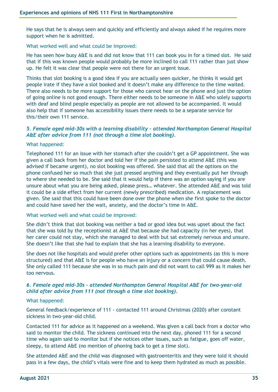He says that he is always seen and quickly and efficiently and always asked if he requires more support when he is admitted.

What worked well and what could be improved:

He has seen how busy A&E is and did not know that 111 can book you in for a timed slot. He said that if this was known people would probably be more inclined to call 111 rather than just show up. He felt it was clear that people were not there for an urgent issue.

Thinks that slot booking is a good idea if you are actually seen quicker, he thinks it would get people irate if they have a slot booked and it doesn't make any difference to the time waited. There also needs to be more support for those who cannot hear on the phone and just the option of going online is not good enough. There either needs to be someone in A&E who solely supports with deaf and blind people especially as people are not allowed to be accompanied. It would also help that if someone has accessibility issues there needs to be a separate service for this/their own 111 service.

#### *5. Female aged mid-30s with a learning disability – attended Northampton General Hospital A&E after advice from 111 (not through a time slot booking).*

#### What happened:

Telephoned 111 for an issue with her stomach after she couldn't get a GP appointment. She was given a call back from her doctor and told her if the pain persisted to attend A&E (this was advised if became urgent), no slot booking was offered. She said that all the options on the phone confused her so much that she just pressed anything and they eventually put her through to where she needed to be. She said that it would help if there was an option saying if you are unsure about what you are being asked, please press… whatever. She attended A&E and was told it could be a side effect from her current (newly prescribed) medication. A replacement was given. She said that this could have been done over the phone when she first spoke to the doctor and could have saved her the wait, anxiety, and the doctor's time in A&E.

What worked well and what could be improved:

She didn't think that slot booking was neither a bad or good idea but was upset about the fact that she was told by the receptionist at A&E that because she had capacity (in her eyes), that her carer could not stay, which she managed to deal with but sat extremely nervous and unsure. She doesn't like that she had to explain that she has a learning disability to everyone.

She does not like hospitals and would prefer other options such as appointments (as this is more structured) and that A&E is for people who have an injury or a concern that could cause death. She only called 111 because she was in so much pain and did not want to call 999 as it makes her too nervous.

#### *6. Female aged mid-30s – attended Northampton General Hospital A&E for two-year-old child after advice from 111 (not through a time slot booking).*

#### What happened:

General feedback/experience of 111 - contacted 111 around Christmas (2020) after constant sickness in two-year-old child.

Contacted 111 for advice as it happened on a weekend. Was given a call back from a doctor who said to monitor the child. The sickness continued into the next day, phoned 111 for a second time who again said to monitor but if she notices other issues, such as fatigue, goes off water, sleepy, to attend A&E (no mention of phoning back to get a time slot).

She attended A&E and the child was diagnosed with gastroenteritis and they were told it should pass in a few days, the child's vitals were fine and to keep them hydrated as much as possible.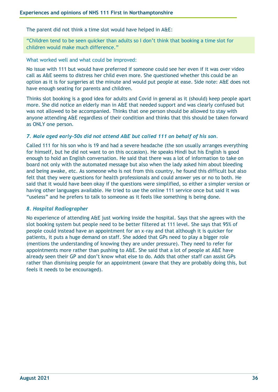The parent did not think a time slot would have helped in A&E:

"Children tend to be seen quicker than adults so I don't think that booking a time slot for children would make much difference."

What worked well and what could be improved:

No issue with 111 but would have preferred if someone could see her even if it was over video call as A&E seems to distress her child even more. She questioned whether this could be an option as it is for surgeries at the minute and would put people at ease. Side note: A&E does not have enough seating for parents and children.

Thinks slot booking is a good idea for adults and Covid in general as it (should) keep people apart more. She did notice an elderly man in A&E that needed support and was clearly confused but was not allowed to be accompanied. Thinks that one person should be allowed to stay with anyone attending A&E regardless of their condition and thinks that this should be taken forward as ONLY one person.

#### *7. Male aged early-50s did not attend A&E but called 111 on behalf of his son.*

Called 111 for his son who is 19 and had a severe headache (the son usually arranges everything for himself, but he did not want to on this occasion). He speaks Hindi but his English is good enough to hold an English conversation. He said that there was a lot of information to take on board not only with the automated message but also when the lady asked him about bleeding and being awake, etc. As someone who is not from this country, he found this difficult but also felt that they were questions for health professionals and could answer yes or no to both. He said that it would have been okay if the questions were simplified, so either a simpler version or having other languages available. He tried to use the online 111 service once but said it was "useless" and he prefers to talk to someone as it feels like something is being done.

#### *8. Hospital Radiographer*

No experience of attending A&E just working inside the hospital. Says that she agrees with the slot booking system but people need to be better filtered at 111 level. She says that 95% of people could instead have an appointment for an x-ray and that although it is quicker for patients, it puts a huge demand on staff. She added that GPs need to play a bigger role (mentions the understanding of knowing they are under pressure). They need to refer for appointments more rather than pushing to A&E. She said that a lot of people at A&E have already seen their GP and don't know what else to do. Adds that other staff can assist GPs rather than dismissing people for an appointment (aware that they are probably doing this, but feels it needs to be encouraged).